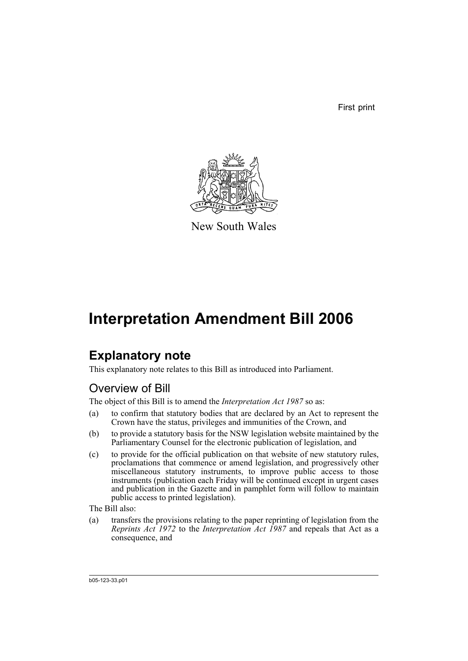First print



New South Wales

## **Interpretation Amendment Bill 2006**

## **Explanatory note**

This explanatory note relates to this Bill as introduced into Parliament.

## Overview of Bill

The object of this Bill is to amend the *Interpretation Act 1987* so as:

- (a) to confirm that statutory bodies that are declared by an Act to represent the Crown have the status, privileges and immunities of the Crown, and
- (b) to provide a statutory basis for the NSW legislation website maintained by the Parliamentary Counsel for the electronic publication of legislation, and
- (c) to provide for the official publication on that website of new statutory rules, proclamations that commence or amend legislation, and progressively other miscellaneous statutory instruments, to improve public access to those instruments (publication each Friday will be continued except in urgent cases and publication in the Gazette and in pamphlet form will follow to maintain public access to printed legislation).

The Bill also:

(a) transfers the provisions relating to the paper reprinting of legislation from the *Reprints Act 1972* to the *Interpretation Act 1987* and repeals that Act as a consequence, and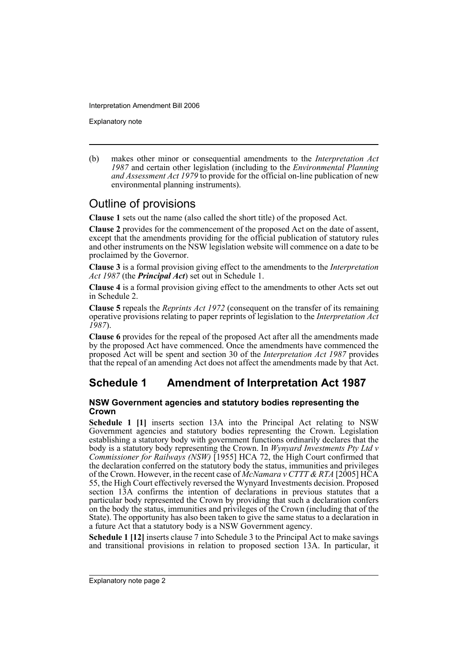Explanatory note

(b) makes other minor or consequential amendments to the *Interpretation Act 1987* and certain other legislation (including to the *Environmental Planning and Assessment Act 1979* to provide for the official on-line publication of new environmental planning instruments).

## Outline of provisions

**Clause 1** sets out the name (also called the short title) of the proposed Act.

**Clause 2** provides for the commencement of the proposed Act on the date of assent, except that the amendments providing for the official publication of statutory rules and other instruments on the NSW legislation website will commence on a date to be proclaimed by the Governor.

**Clause 3** is a formal provision giving effect to the amendments to the *Interpretation Act 1987* (the *Principal Act*) set out in Schedule 1.

**Clause 4** is a formal provision giving effect to the amendments to other Acts set out in Schedule 2.

**Clause 5** repeals the *Reprints Act 1972* (consequent on the transfer of its remaining operative provisions relating to paper reprints of legislation to the *Interpretation Act 1987*).

**Clause 6** provides for the repeal of the proposed Act after all the amendments made by the proposed Act have commenced. Once the amendments have commenced the proposed Act will be spent and section 30 of the *Interpretation Act 1987* provides that the repeal of an amending Act does not affect the amendments made by that Act.

## **Schedule 1 Amendment of Interpretation Act 1987**

### **NSW Government agencies and statutory bodies representing the Crown**

**Schedule 1 [1]** inserts section 13A into the Principal Act relating to NSW Government agencies and statutory bodies representing the Crown. Legislation establishing a statutory body with government functions ordinarily declares that the body is a statutory body representing the Crown. In *Wynyard Investments Pty Ltd v Commissioner for Railways (NSW)* [1955] HCA 72, the High Court confirmed that the declaration conferred on the statutory body the status, immunities and privileges of the Crown. However, in the recent case of *McNamara v CTTT & RTA* [2005] HCA 55, the High Court effectively reversed the Wynyard Investments decision. Proposed section 13A confirms the intention of declarations in previous statutes that a particular body represented the Crown by providing that such a declaration confers on the body the status, immunities and privileges of the Crown (including that of the State). The opportunity has also been taken to give the same status to a declaration in a future Act that a statutory body is a NSW Government agency.

**Schedule 1 [12]** inserts clause 7 into Schedule 3 to the Principal Act to make savings and transitional provisions in relation to proposed section 13A. In particular, it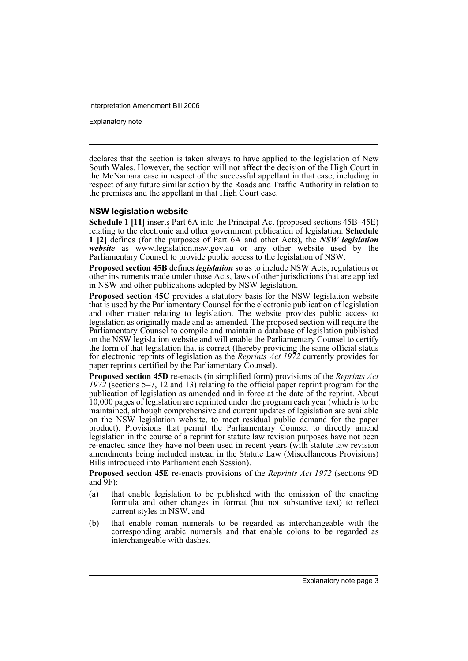Explanatory note

declares that the section is taken always to have applied to the legislation of New South Wales. However, the section will not affect the decision of the High Court in the McNamara case in respect of the successful appellant in that case, including in respect of any future similar action by the Roads and Traffic Authority in relation to the premises and the appellant in that High Court case.

### **NSW legislation website**

**Schedule 1 [11]** inserts Part 6A into the Principal Act (proposed sections 45B–45E) relating to the electronic and other government publication of legislation. **Schedule 1 [2]** defines (for the purposes of Part 6A and other Acts), the *NSW legislation website* as www.legislation.nsw.gov.au or any other website used by the Parliamentary Counsel to provide public access to the legislation of NSW.

**Proposed section 45B** defines *legislation* so as to include NSW Acts, regulations or other instruments made under those Acts, laws of other jurisdictions that are applied in NSW and other publications adopted by NSW legislation.

**Proposed section 45C** provides a statutory basis for the NSW legislation website that is used by the Parliamentary Counsel for the electronic publication of legislation and other matter relating to legislation. The website provides public access to legislation as originally made and as amended. The proposed section will require the Parliamentary Counsel to compile and maintain a database of legislation published on the NSW legislation website and will enable the Parliamentary Counsel to certify the form of that legislation that is correct (thereby providing the same official status for electronic reprints of legislation as the *Reprints Act 1972* currently provides for paper reprints certified by the Parliamentary Counsel).

**Proposed section 45D** re-enacts (in simplified form) provisions of the *Reprints Act 1972* (sections 5–7, 12 and 13) relating to the official paper reprint program for the publication of legislation as amended and in force at the date of the reprint. About 10,000 pages of legislation are reprinted under the program each year (which is to be maintained, although comprehensive and current updates of legislation are available on the NSW legislation website, to meet residual public demand for the paper product). Provisions that permit the Parliamentary Counsel to directly amend legislation in the course of a reprint for statute law revision purposes have not been re-enacted since they have not been used in recent years (with statute law revision amendments being included instead in the Statute Law (Miscellaneous Provisions) Bills introduced into Parliament each Session).

**Proposed section 45E** re-enacts provisions of the *Reprints Act 1972* (sections 9D and  $9F$ :

- (a) that enable legislation to be published with the omission of the enacting formula and other changes in format (but not substantive text) to reflect current styles in NSW, and
- (b) that enable roman numerals to be regarded as interchangeable with the corresponding arabic numerals and that enable colons to be regarded as interchangeable with dashes.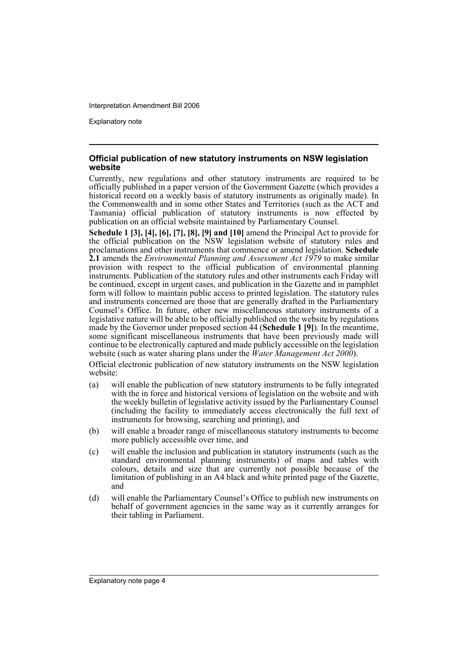Explanatory note

### **Official publication of new statutory instruments on NSW legislation website**

Currently, new regulations and other statutory instruments are required to be officially published in a paper version of the Government Gazette (which provides a historical record on a weekly basis of statutory instruments as originally made). In the Commonwealth and in some other States and Territories (such as the ACT and Tasmania) official publication of statutory instruments is now effected by publication on an official website maintained by Parliamentary Counsel.

**Schedule 1 [3], [4], [6], [7], [8], [9] and [10]** amend the Principal Act to provide for the official publication on the NSW legislation website of statutory rules and proclamations and other instruments that commence or amend legislation. **Schedule 2.1** amends the *Environmental Planning and Assessment Act 1979* to make similar provision with respect to the official publication of environmental planning instruments. Publication of the statutory rules and other instruments each Friday will be continued, except in urgent cases, and publication in the Gazette and in pamphlet form will follow to maintain public access to printed legislation. The statutory rules and instruments concerned are those that are generally drafted in the Parliamentary Counsel's Office. In future, other new miscellaneous statutory instruments of a legislative nature will be able to be officially published on the website by regulations made by the Governor under proposed section 44 (**Schedule 1 [9]**). In the meantime, some significant miscellaneous instruments that have been previously made will continue to be electronically captured and made publicly accessible on the legislation website (such as water sharing plans under the *Water Management Act 2000*).

Official electronic publication of new statutory instruments on the NSW legislation website:

- (a) will enable the publication of new statutory instruments to be fully integrated with the in force and historical versions of legislation on the website and with the weekly bulletin of legislative activity issued by the Parliamentary Counsel (including the facility to immediately access electronically the full text of instruments for browsing, searching and printing), and
- (b) will enable a broader range of miscellaneous statutory instruments to become more publicly accessible over time, and
- (c) will enable the inclusion and publication in statutory instruments (such as the standard environmental planning instruments) of maps and tables with colours, details and size that are currently not possible because of the limitation of publishing in an A4 black and white printed page of the Gazette, and
- (d) will enable the Parliamentary Counsel's Office to publish new instruments on behalf of government agencies in the same way as it currently arranges for their tabling in Parliament.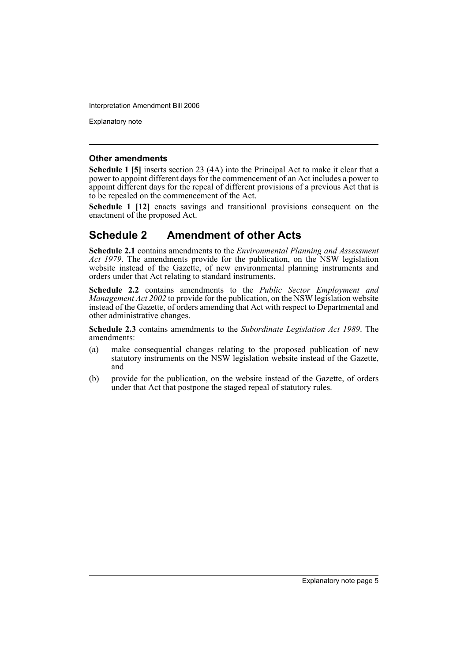Explanatory note

### **Other amendments**

**Schedule 1 [5]** inserts section 23 (4A) into the Principal Act to make it clear that a power to appoint different days for the commencement of an Act includes a power to appoint different days for the repeal of different provisions of a previous Act that is to be repealed on the commencement of the Act.

**Schedule 1 [12]** enacts savings and transitional provisions consequent on the enactment of the proposed Act.

## **Schedule 2 Amendment of other Acts**

**Schedule 2.1** contains amendments to the *Environmental Planning and Assessment Act 1979*. The amendments provide for the publication, on the NSW legislation website instead of the Gazette, of new environmental planning instruments and orders under that Act relating to standard instruments.

**Schedule 2.2** contains amendments to the *Public Sector Employment and Management Act 2002* to provide for the publication, on the NSW legislation website instead of the Gazette, of orders amending that Act with respect to Departmental and other administrative changes.

**Schedule 2.3** contains amendments to the *Subordinate Legislation Act 1989*. The amendments:

- (a) make consequential changes relating to the proposed publication of new statutory instruments on the NSW legislation website instead of the Gazette, and
- (b) provide for the publication, on the website instead of the Gazette, of orders under that Act that postpone the staged repeal of statutory rules.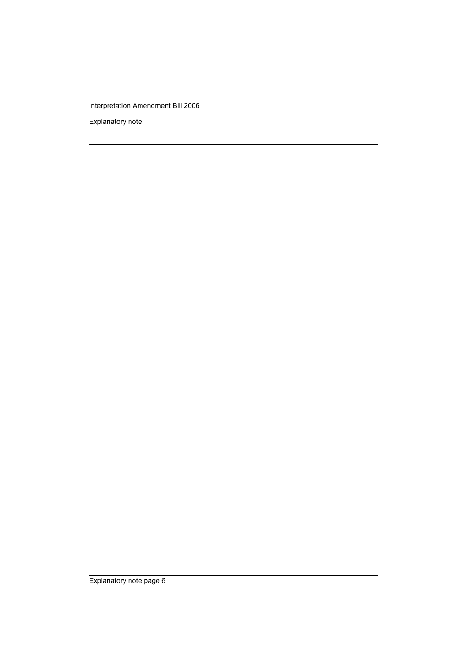Explanatory note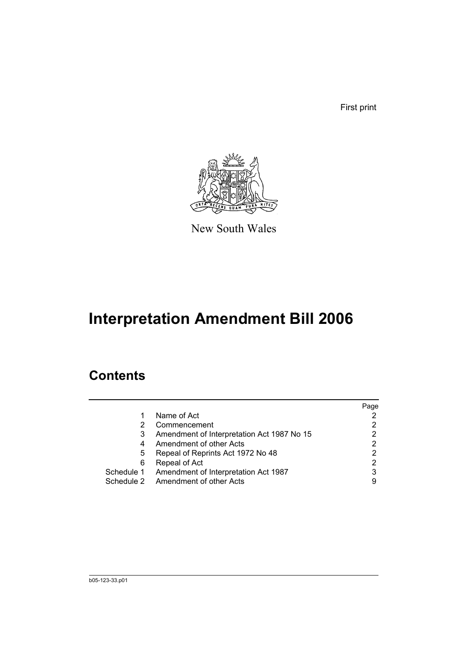First print



New South Wales

# **Interpretation Amendment Bill 2006**

## **Contents**

|   |                                                 | Page |
|---|-------------------------------------------------|------|
|   | Name of Act                                     |      |
|   | Commencement                                    |      |
| 3 | Amendment of Interpretation Act 1987 No 15      |      |
| 4 | Amendment of other Acts                         |      |
| 5 | Repeal of Reprints Act 1972 No 48               |      |
| 6 | Repeal of Act                                   | 2    |
|   | Schedule 1 Amendment of Interpretation Act 1987 |      |
|   | Schedule 2 Amendment of other Acts              |      |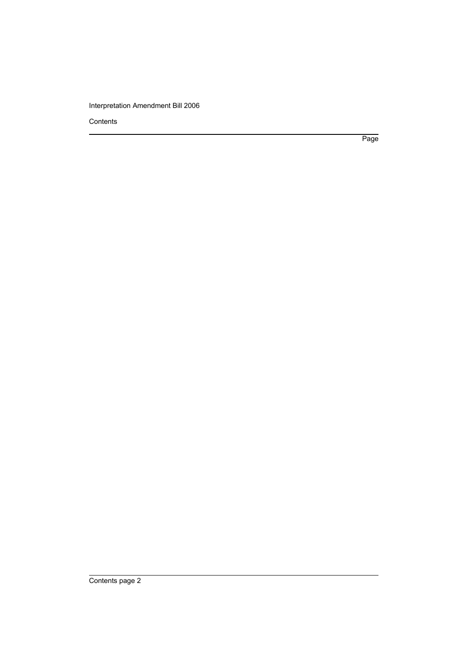Contents

Page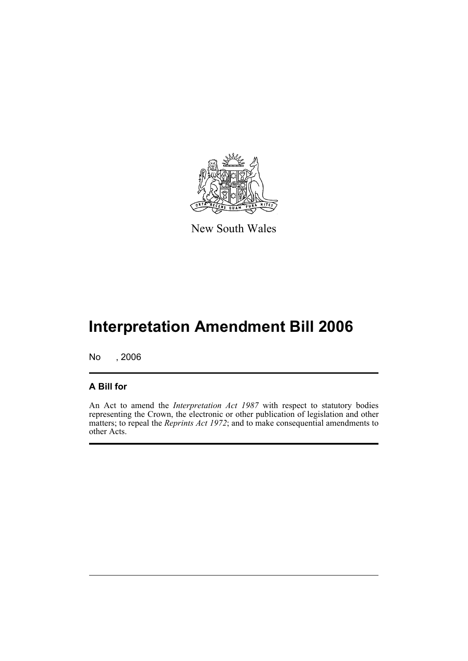

New South Wales

## **Interpretation Amendment Bill 2006**

No , 2006

### **A Bill for**

An Act to amend the *Interpretation Act 1987* with respect to statutory bodies representing the Crown, the electronic or other publication of legislation and other matters; to repeal the *Reprints Act 1972*; and to make consequential amendments to other Acts.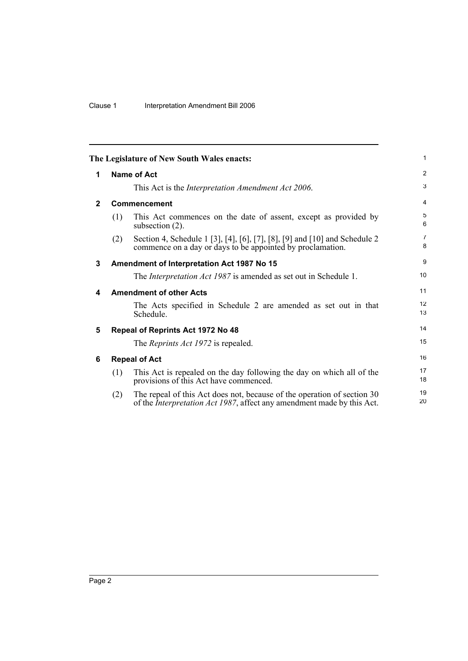<span id="page-9-5"></span><span id="page-9-4"></span><span id="page-9-3"></span><span id="page-9-2"></span><span id="page-9-1"></span><span id="page-9-0"></span>

|                         |                                                            | The Legislature of New South Wales enacts:                                                                                                                | $\mathbf{1}$        |  |  |
|-------------------------|------------------------------------------------------------|-----------------------------------------------------------------------------------------------------------------------------------------------------------|---------------------|--|--|
| 1<br><b>Name of Act</b> |                                                            |                                                                                                                                                           |                     |  |  |
|                         | This Act is the <i>Interpretation Amendment Act 2006</i> . |                                                                                                                                                           |                     |  |  |
| $\mathbf{2}$            |                                                            | <b>Commencement</b>                                                                                                                                       | $\overline{4}$      |  |  |
|                         | (1)                                                        | This Act commences on the date of assent, except as provided by<br>subsection $(2)$ .                                                                     | 5<br>6              |  |  |
|                         | (2)                                                        | Section 4, Schedule 1 [3], [4], [6], [7], [8], [9] and [10] and Schedule 2<br>commence on a day or days to be appointed by proclamation.                  | $\overline{7}$<br>8 |  |  |
| 3                       |                                                            | Amendment of Interpretation Act 1987 No 15                                                                                                                | 9                   |  |  |
|                         |                                                            | The <i>Interpretation Act 1987</i> is amended as set out in Schedule 1.                                                                                   | 10                  |  |  |
| 4                       |                                                            | <b>Amendment of other Acts</b>                                                                                                                            | 11                  |  |  |
|                         |                                                            | The Acts specified in Schedule 2 are amended as set out in that<br>Schedule.                                                                              | 12<br>13            |  |  |
| 5                       |                                                            | Repeal of Reprints Act 1972 No 48                                                                                                                         | 14                  |  |  |
|                         |                                                            | The <i>Reprints Act 1972</i> is repealed.                                                                                                                 | 15                  |  |  |
| 6                       |                                                            | <b>Repeal of Act</b>                                                                                                                                      | 16                  |  |  |
|                         | (1)                                                        | This Act is repealed on the day following the day on which all of the<br>provisions of this Act have commenced.                                           | 17<br>18            |  |  |
|                         | (2)                                                        | The repeal of this Act does not, because of the operation of section 30<br>of the <i>Interpretation Act 1987</i> , affect any amendment made by this Act. | 19<br>20            |  |  |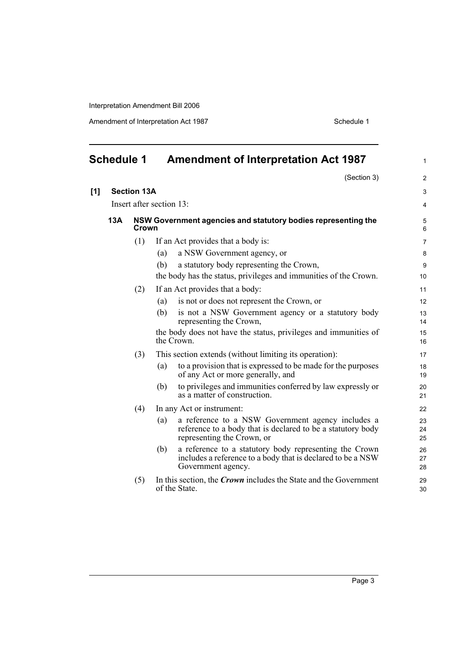Amendment of Interpretation Act 1987 Manuson Contract 1987

<span id="page-10-0"></span>

|     | <b>Schedule 1</b> |                    | <b>Amendment of Interpretation Act 1987</b>                                                                                                           | $\mathbf{1}$     |
|-----|-------------------|--------------------|-------------------------------------------------------------------------------------------------------------------------------------------------------|------------------|
|     |                   |                    | (Section 3)                                                                                                                                           | $\overline{2}$   |
| [1] |                   | <b>Section 13A</b> |                                                                                                                                                       | 3                |
|     |                   |                    | Insert after section 13:                                                                                                                              | 4                |
|     | 13A               | Crown              | NSW Government agencies and statutory bodies representing the                                                                                         | 5<br>6           |
|     |                   | (1)                | If an Act provides that a body is:                                                                                                                    | $\overline{7}$   |
|     |                   |                    | a NSW Government agency, or<br>(a)                                                                                                                    | 8                |
|     |                   |                    | a statutory body representing the Crown,<br>(b)                                                                                                       | $\boldsymbol{9}$ |
|     |                   |                    | the body has the status, privileges and immunities of the Crown.                                                                                      | 10               |
|     |                   | (2)                | If an Act provides that a body:                                                                                                                       | 11               |
|     |                   |                    | is not or does not represent the Crown, or<br>(a)                                                                                                     | 12               |
|     |                   |                    | (b)<br>is not a NSW Government agency or a statutory body<br>representing the Crown,                                                                  | 13<br>14         |
|     |                   |                    | the body does not have the status, privileges and immunities of<br>the Crown.                                                                         | 15<br>16         |
|     |                   | (3)                | This section extends (without limiting its operation):                                                                                                | 17               |
|     |                   |                    | to a provision that is expressed to be made for the purposes<br>(a)<br>of any Act or more generally, and                                              | 18<br>19         |
|     |                   |                    | to privileges and immunities conferred by law expressly or<br>(b)<br>as a matter of construction.                                                     | 20<br>21         |
|     |                   | (4)                | In any Act or instrument:                                                                                                                             | 22               |
|     |                   |                    | a reference to a NSW Government agency includes a<br>(a)<br>reference to a body that is declared to be a statutory body<br>representing the Crown, or | 23<br>24<br>25   |
|     |                   |                    | a reference to a statutory body representing the Crown<br>(b)<br>includes a reference to a body that is declared to be a NSW<br>Government agency.    | 26<br>27<br>28   |
|     |                   | (5)                | In this section, the <i>Crown</i> includes the State and the Government<br>of the State.                                                              | 29<br>30         |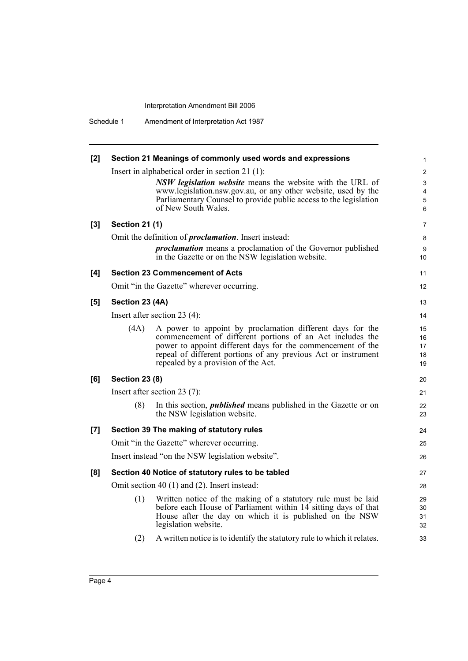| Schedule 1 | Amendment of Interpretation Act 1987 |
|------------|--------------------------------------|
|------------|--------------------------------------|

| [2] |                                                   | Section 21 Meanings of commonly used words and expressions                                                                                                                                                                                                                                     | 1                          |  |  |
|-----|---------------------------------------------------|------------------------------------------------------------------------------------------------------------------------------------------------------------------------------------------------------------------------------------------------------------------------------------------------|----------------------------|--|--|
|     |                                                   | Insert in alphabetical order in section 21 $(1)$ :                                                                                                                                                                                                                                             | $\overline{2}$             |  |  |
|     |                                                   | NSW legislation website means the website with the URL of<br>www.legislation.nsw.gov.au, or any other website, used by the<br>Parliamentary Counsel to provide public access to the legislation<br>of New South Wales.                                                                         | 3<br>4<br>5<br>6           |  |  |
| [3] | <b>Section 21 (1)</b>                             |                                                                                                                                                                                                                                                                                                | $\overline{7}$             |  |  |
|     |                                                   | Omit the definition of <i>proclamation</i> . Insert instead:                                                                                                                                                                                                                                   | 8                          |  |  |
|     |                                                   | <i>proclamation</i> means a proclamation of the Governor published<br>in the Gazette or on the NSW legislation website.                                                                                                                                                                        | 9<br>10                    |  |  |
| [4] |                                                   | <b>Section 23 Commencement of Acts</b>                                                                                                                                                                                                                                                         | 11                         |  |  |
|     |                                                   | Omit "in the Gazette" wherever occurring.                                                                                                                                                                                                                                                      | 12                         |  |  |
| [5] | Section 23 (4A)                                   |                                                                                                                                                                                                                                                                                                |                            |  |  |
|     |                                                   | Insert after section $23(4)$ :                                                                                                                                                                                                                                                                 | 14                         |  |  |
|     | (4A)                                              | A power to appoint by proclamation different days for the<br>commencement of different portions of an Act includes the<br>power to appoint different days for the commencement of the<br>repeal of different portions of any previous Act or instrument<br>repealed by a provision of the Act. | 15<br>16<br>17<br>18<br>19 |  |  |
| [6] | <b>Section 23 (8)</b>                             |                                                                                                                                                                                                                                                                                                | 20                         |  |  |
|     |                                                   | Insert after section $23(7)$ :                                                                                                                                                                                                                                                                 | 21                         |  |  |
|     | (8)                                               | In this section, <i>published</i> means published in the Gazette or on<br>the NSW legislation website.                                                                                                                                                                                         | 22<br>23                   |  |  |
| [7] |                                                   | Section 39 The making of statutory rules                                                                                                                                                                                                                                                       | 24                         |  |  |
|     | Omit "in the Gazette" wherever occurring.         |                                                                                                                                                                                                                                                                                                |                            |  |  |
|     | Insert instead "on the NSW legislation website".  |                                                                                                                                                                                                                                                                                                |                            |  |  |
| [8] |                                                   | Section 40 Notice of statutory rules to be tabled                                                                                                                                                                                                                                              | 27                         |  |  |
|     | Omit section 40 $(1)$ and $(2)$ . Insert instead: |                                                                                                                                                                                                                                                                                                |                            |  |  |
|     | (1)                                               | Written notice of the making of a statutory rule must be laid<br>before each House of Parliament within 14 sitting days of that<br>House after the day on which it is published on the NSW<br>legislation website.                                                                             | 29<br>30<br>31<br>32       |  |  |
|     | (2)                                               | A written notice is to identify the statutory rule to which it relates.                                                                                                                                                                                                                        | 33                         |  |  |
|     |                                                   |                                                                                                                                                                                                                                                                                                |                            |  |  |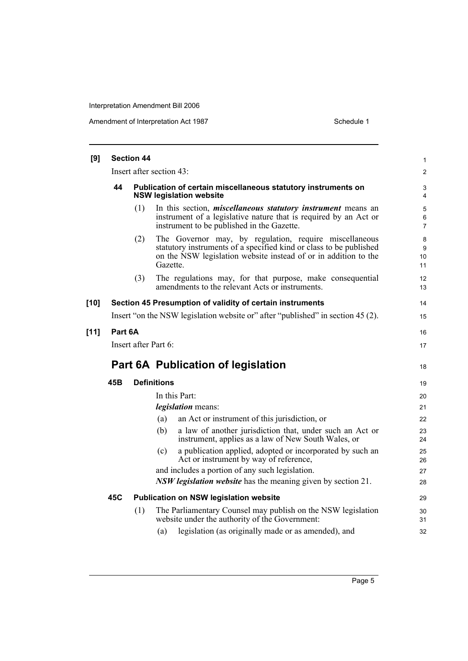Amendment of Interpretation Act 1987 Manuson Contract 1987

| [9]    |         | <b>Section 44</b>    |                                                                                                                                                                                                             | 1                                 |
|--------|---------|----------------------|-------------------------------------------------------------------------------------------------------------------------------------------------------------------------------------------------------------|-----------------------------------|
|        |         |                      | Insert after section 43:                                                                                                                                                                                    | $\overline{2}$                    |
|        | 44      |                      | Publication of certain miscellaneous statutory instruments on<br><b>NSW legislation website</b>                                                                                                             | 3<br>4                            |
|        |         | (1)                  | In this section, <i>miscellaneous statutory instrument</i> means an<br>instrument of a legislative nature that is required by an Act or<br>instrument to be published in the Gazette.                       | $\sqrt{5}$<br>6<br>$\overline{7}$ |
|        |         | (2)                  | The Governor may, by regulation, require miscellaneous<br>statutory instruments of a specified kind or class to be published<br>on the NSW legislation website instead of or in addition to the<br>Gazette. | 8<br>9<br>10<br>11                |
|        |         | (3)                  | The regulations may, for that purpose, make consequential<br>amendments to the relevant Acts or instruments.                                                                                                | 12<br>13                          |
| $[10]$ |         |                      | Section 45 Presumption of validity of certain instruments                                                                                                                                                   | 14                                |
|        |         |                      | Insert "on the NSW legislation website or" after "published" in section 45 (2).                                                                                                                             | 15                                |
| $[11]$ | Part 6A |                      |                                                                                                                                                                                                             |                                   |
|        |         | Insert after Part 6: |                                                                                                                                                                                                             | 17                                |
|        |         |                      | <b>Part 6A Publication of legislation</b>                                                                                                                                                                   | 18                                |
|        | 45B     |                      | <b>Definitions</b>                                                                                                                                                                                          | 19                                |
|        |         |                      | In this Part:                                                                                                                                                                                               | 20                                |
|        |         |                      | legislation means:                                                                                                                                                                                          | 21                                |
|        |         |                      | an Act or instrument of this jurisdiction, or<br>(a)                                                                                                                                                        | 22                                |
|        |         |                      | a law of another jurisdiction that, under such an Act or<br>(b)<br>instrument, applies as a law of New South Wales, or                                                                                      | 23<br>24                          |
|        |         |                      | a publication applied, adopted or incorporated by such an<br>(c)<br>Act or instrument by way of reference,                                                                                                  | 25<br>26                          |
|        |         |                      | and includes a portion of any such legislation.                                                                                                                                                             | 27                                |
|        |         |                      | <i>NSW legislation website</i> has the meaning given by section 21.                                                                                                                                         | 28                                |
|        | 45C     |                      | <b>Publication on NSW legislation website</b>                                                                                                                                                               | 29                                |
|        |         | (1)                  | The Parliamentary Counsel may publish on the NSW legislation<br>website under the authority of the Government:                                                                                              | 30<br>31                          |
|        |         |                      | legislation (as originally made or as amended), and<br>(a)                                                                                                                                                  | 32                                |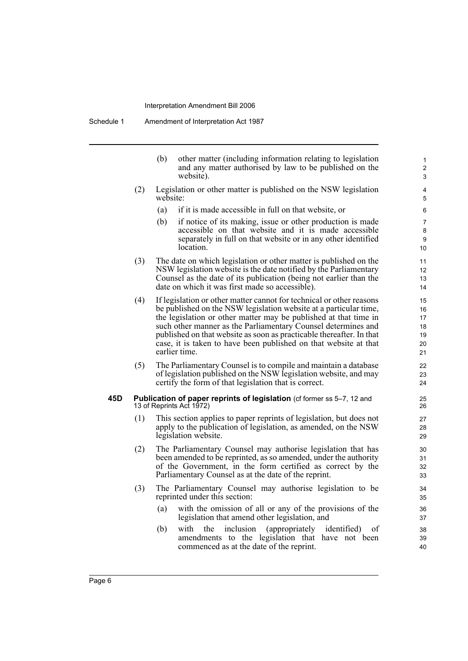(b) other matter (including information relating to legislation and any matter authorised by law to be published on the website).

- (2) Legislation or other matter is published on the NSW legislation website:
	- (a) if it is made accessible in full on that website, or
	- (b) if notice of its making, issue or other production is made accessible on that website and it is made accessible separately in full on that website or in any other identified location.
- (3) The date on which legislation or other matter is published on the NSW legislation website is the date notified by the Parliamentary Counsel as the date of its publication (being not earlier than the date on which it was first made so accessible).
- (4) If legislation or other matter cannot for technical or other reasons be published on the NSW legislation website at a particular time, the legislation or other matter may be published at that time in such other manner as the Parliamentary Counsel determines and published on that website as soon as practicable thereafter. In that case, it is taken to have been published on that website at that earlier time.
- (5) The Parliamentary Counsel is to compile and maintain a database of legislation published on the NSW legislation website, and may certify the form of that legislation that is correct.

### **45D** Publication of paper reprints of legislation (cf former ss 5-7, 12 and 13 of Reprints Act 1972)

- (1) This section applies to paper reprints of legislation, but does not apply to the publication of legislation, as amended, on the NSW legislation website.
- (2) The Parliamentary Counsel may authorise legislation that has been amended to be reprinted, as so amended, under the authority of the Government, in the form certified as correct by the Parliamentary Counsel as at the date of the reprint.
- (3) The Parliamentary Counsel may authorise legislation to be reprinted under this section:
	- (a) with the omission of all or any of the provisions of the legislation that amend other legislation, and
	- (b) with the inclusion (appropriately identified) of amendments to the legislation that have not been commenced as at the date of the reprint.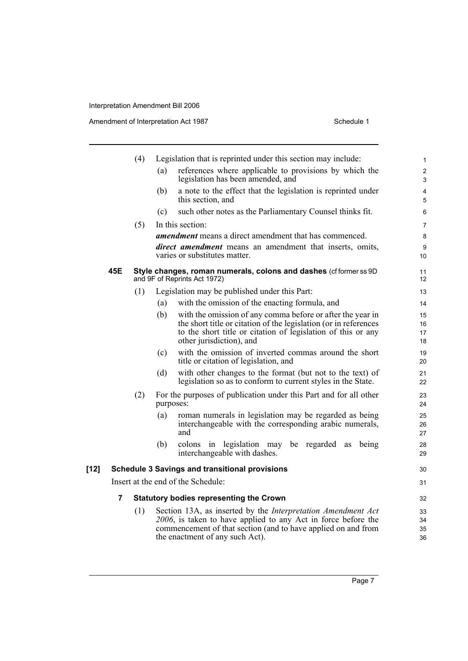|        |     | (4) |           | Legislation that is reprinted under this section may include:                                                                    | $\mathbf{1}$        |
|--------|-----|-----|-----------|----------------------------------------------------------------------------------------------------------------------------------|---------------------|
|        |     |     | (a)       | references where applicable to provisions by which the<br>legislation has been amended, and                                      | $\overline{2}$<br>3 |
|        |     |     | (b)       | a note to the effect that the legislation is reprinted under                                                                     | 4                   |
|        |     |     |           | this section, and                                                                                                                | 5                   |
|        |     |     | (c)       | such other notes as the Parliamentary Counsel thinks fit.                                                                        | 6                   |
|        |     | (5) |           | In this section:                                                                                                                 | $\overline{7}$      |
|        |     |     |           | <i>amendment</i> means a direct amendment that has commenced.                                                                    | $\bf 8$             |
|        |     |     |           | direct amendment means an amendment that inserts, omits,<br>varies or substitutes matter.                                        | 9<br>10             |
|        | 45E |     |           | Style changes, roman numerals, colons and dashes (cfformerss 9D)<br>and 9F of Reprints Act 1972)                                 | 11<br>12            |
|        |     | (1) |           | Legislation may be published under this Part:                                                                                    | 13                  |
|        |     |     | (a)       | with the omission of the enacting formula, and                                                                                   | 14                  |
|        |     |     | (b)       | with the omission of any comma before or after the year in                                                                       | 15                  |
|        |     |     |           | the short title or citation of the legislation (or in references<br>to the short title or citation of legislation of this or any | 16<br>17            |
|        |     |     |           | other jurisdiction), and                                                                                                         | 18                  |
|        |     |     | (c)       | with the omission of inverted commas around the short<br>title or citation of legislation, and                                   | 19<br>20            |
|        |     |     | (d)       | with other changes to the format (but not to the text) of<br>legislation so as to conform to current styles in the State.        | 21<br>22            |
|        |     | (2) | purposes: | For the purposes of publication under this Part and for all other                                                                | 23<br>24            |
|        |     |     | (a)       | roman numerals in legislation may be regarded as being<br>interchangeable with the corresponding arabic numerals,<br>and         | 25<br>26<br>27      |
|        |     |     | (b)       | colons in legislation may be regarded as<br>being<br>interchangeable with dashes.                                                | 28<br>29            |
| $[12]$ |     |     |           | <b>Schedule 3 Savings and transitional provisions</b>                                                                            | 30                  |
|        |     |     |           | Insert at the end of the Schedule:                                                                                               | 31                  |
|        | 7   |     |           | <b>Statutory bodies representing the Crown</b>                                                                                   | 32                  |
|        |     |     |           |                                                                                                                                  |                     |
|        |     | (1) |           | Section 13A, as inserted by the Interpretation Amendment Act<br>2006, is taken to have applied to any Act in force before the    | 33<br>34            |
|        |     |     |           | commencement of that section (and to have applied on and from<br>the enactment of any such Act).                                 | 35<br>36            |
|        |     |     |           |                                                                                                                                  |                     |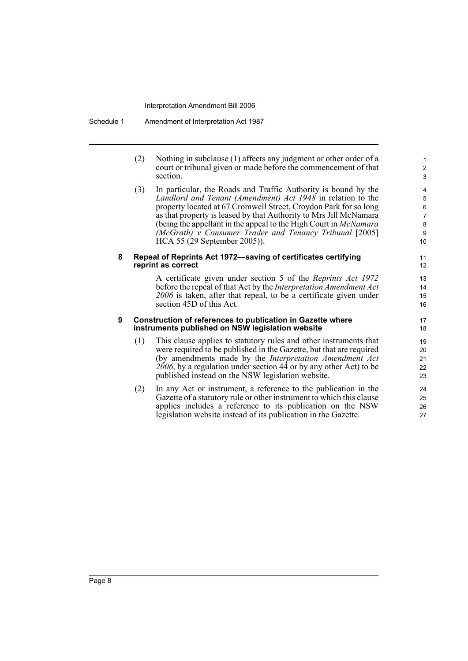(2) Nothing in subclause (1) affects any judgment or other order of a court or tribunal given or made before the commencement of that section.

(3) In particular, the Roads and Traffic Authority is bound by the *Landlord and Tenant (Amendment) Act 1948* in relation to the property located at 67 Cromwell Street, Croydon Park for so long as that property is leased by that Authority to Mrs Jill McNamara (being the appellant in the appeal to the High Court in *McNamara (McGrath) v Consumer Trader and Tenancy Tribunal* [2005] HCA 55 (29 September 2005)).

### **8 Repeal of Reprints Act 1972—saving of certificates certifying reprint as correct**

A certificate given under section 5 of the *Reprints Act 1972* before the repeal of that Act by the *Interpretation Amendment Act 2006* is taken, after that repeal, to be a certificate given under section 45D of this Act.

### **9 Construction of references to publication in Gazette where instruments published on NSW legislation website**

- (1) This clause applies to statutory rules and other instruments that were required to be published in the Gazette, but that are required (by amendments made by the *Interpretation Amendment Act 2006*, by a regulation under section 44 or by any other Act) to be published instead on the NSW legislation website.
- (2) In any Act or instrument, a reference to the publication in the Gazette of a statutory rule or other instrument to which this clause applies includes a reference to its publication on the NSW legislation website instead of its publication in the Gazette.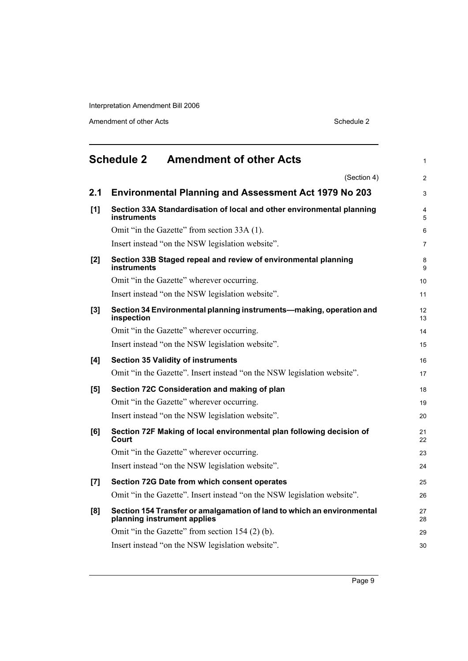Amendment of other Acts Schedule 2

<span id="page-16-0"></span>

|       | <b>Schedule 2</b><br><b>Amendment of other Acts</b>                                                   | $\mathbf{1}$   |
|-------|-------------------------------------------------------------------------------------------------------|----------------|
|       | (Section 4)                                                                                           | $\overline{2}$ |
| 2.1   | <b>Environmental Planning and Assessment Act 1979 No 203</b>                                          | 3              |
| [1]   | Section 33A Standardisation of local and other environmental planning<br>instruments                  | 4<br>5         |
|       | Omit "in the Gazette" from section 33A (1).                                                           | 6              |
|       | Insert instead "on the NSW legislation website".                                                      | $\overline{7}$ |
| [2]   | Section 33B Staged repeal and review of environmental planning<br>instruments                         | 8<br>9         |
|       | Omit "in the Gazette" wherever occurring.                                                             | 10             |
|       | Insert instead "on the NSW legislation website".                                                      | 11             |
| [3]   | Section 34 Environmental planning instruments-making, operation and<br>inspection                     | 12<br>13       |
|       | Omit "in the Gazette" wherever occurring.                                                             | 14             |
|       | Insert instead "on the NSW legislation website".                                                      | 15             |
| [4]   | <b>Section 35 Validity of instruments</b>                                                             | 16             |
|       | Omit "in the Gazette". Insert instead "on the NSW legislation website".                               | 17             |
| [5]   | Section 72C Consideration and making of plan                                                          | 18             |
|       | Omit "in the Gazette" wherever occurring.                                                             | 19             |
|       | Insert instead "on the NSW legislation website".                                                      | 20             |
| [6]   | Section 72F Making of local environmental plan following decision of<br>Court                         | 21<br>22       |
|       | Omit "in the Gazette" wherever occurring.                                                             | 23             |
|       | Insert instead "on the NSW legislation website".                                                      | 24             |
| $[7]$ | Section 72G Date from which consent operates                                                          | 25             |
|       | Omit "in the Gazette". Insert instead "on the NSW legislation website".                               | 26             |
| [8]   | Section 154 Transfer or amalgamation of land to which an environmental<br>planning instrument applies | 27<br>28       |
|       | Omit "in the Gazette" from section 154 (2) (b).                                                       | 29             |
|       | Insert instead "on the NSW legislation website".                                                      | 30             |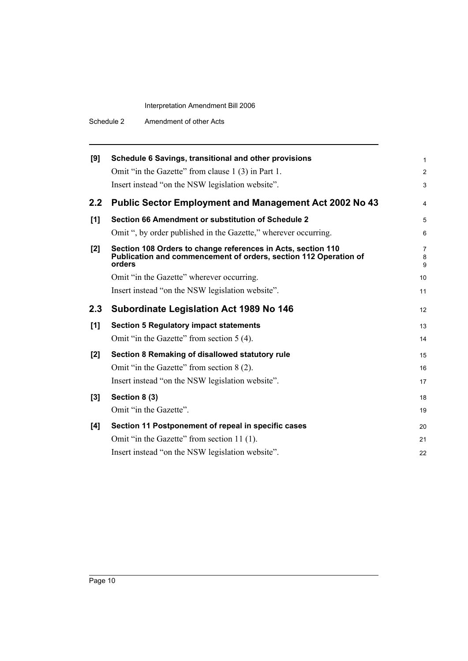| [9]   | Schedule 6 Savings, transitional and other provisions                                                                                      | 1              |
|-------|--------------------------------------------------------------------------------------------------------------------------------------------|----------------|
|       | Omit "in the Gazette" from clause 1 (3) in Part 1.                                                                                         | $\overline{2}$ |
|       | Insert instead "on the NSW legislation website".                                                                                           | 3              |
| 2.2   | <b>Public Sector Employment and Management Act 2002 No 43</b>                                                                              | 4              |
| [1]   | Section 66 Amendment or substitution of Schedule 2                                                                                         | 5              |
|       | Omit ", by order published in the Gazette," wherever occurring.                                                                            | 6              |
| [2]   | Section 108 Orders to change references in Acts, section 110<br>Publication and commencement of orders, section 112 Operation of<br>orders | 7<br>8<br>9    |
|       | Omit "in the Gazette" wherever occurring.                                                                                                  | 10             |
|       | Insert instead "on the NSW legislation website".                                                                                           | 11             |
| 2.3   | Subordinate Legislation Act 1989 No 146                                                                                                    | 12             |
| [1]   | <b>Section 5 Regulatory impact statements</b>                                                                                              | 13             |
|       | Omit "in the Gazette" from section 5 (4).                                                                                                  | 14             |
| [2]   | Section 8 Remaking of disallowed statutory rule                                                                                            | 15             |
|       | Omit "in the Gazette" from section 8 (2).                                                                                                  | 16             |
|       | Insert instead "on the NSW legislation website".                                                                                           | 17             |
| $[3]$ | Section 8 (3)                                                                                                                              | 18             |
|       | Omit "in the Gazette".                                                                                                                     | 19             |
| [4]   | Section 11 Postponement of repeal in specific cases                                                                                        | 20             |
|       | Omit "in the Gazette" from section 11 (1).                                                                                                 | 21             |
|       | Insert instead "on the NSW legislation website".                                                                                           | 22             |